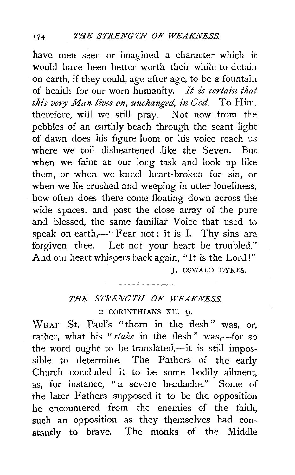have men seen or imagined a character which it would have been better worth their while to detain on earth, if they could, age after age, to be a fountain of health for our worn humanity. *It is certain that this very Man lives on, unchanged, in God.* To Him, therefore, will we still pray. Not now from the pebbles of an earthly beach through the scant light of dawn does his figure loom or his voice reach us where we toil disheartened like the Seven. But when we faint at our lorg task and look up like them, or when we kneel heart-broken for sin, or when we lie crushed and weeping in utter loneliness, how often does there come floating down across the wide spaces, and past the close array of the pure and blessed, the same familiar Voice that used to speak on earth, $-$ " Fear not: it is I. Thy sins are forgiven thee. Let not your heart be troubled." And our heart whispers back again, "It is the Lord!" J. OSWALD DYKES.

## *THE STRENGTH OF WEAKNESS.*

2 CORINTHIANS XII. Q.

WHAT St. Paul's "thorn in the flesh" was, or, rather, what his "stake in the flesh" was,-for so the word ought to be translated, $-i$ t is still impossible to determine. The Fathers of the early Church concluded it to be some bodily ailment, as, for instance, "a severe headache." Some of the later Fathers supposed it to be the opposition he encountered from the enemies of the faith, such an opposition as they themselves had constantly to brave. The monks of the Middle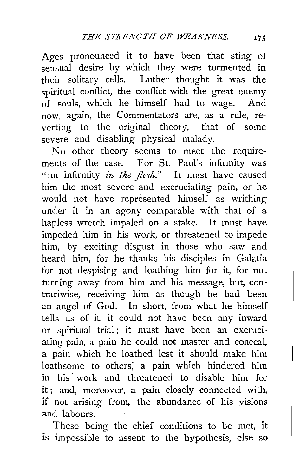Ages pronounced it to have been that sting of sensual desire by which they were tormented in their solitary cells. Luther thought it was the spiritual conflict, the conflict with the great enemy of souls, which he himself had to wage. And now, again, the Commentators are, as a rule, reverting to the original theory,—that of some severe and disabling physical malady.

No other theory seems to meet the requirements of the case. For St. Paul's infirmity was "an infirmity *in the flesh.*" It must have caused him the most severe and excruciating pain, or he would not have represented himself as writhing under it in an agony comparable with that of a hapless wretch impaled on a stake. It must have impeded him in his work, or threatened to impede him, by exciting disgust in those who saw and heard him, for he thanks his disciples in Galatia for not despising and loathing him for it, for not turning away from him and his message, but, contrariwise, receiving him as though he had been an angel of God. In short, from what he himself tells us of it, it could not have been any inward or spiritual trial; it must have been an excruciating pain, a pain he could not master and conceal, a pain which he loathed lest it should make him loathsome to others; a pain which hindered him in his work and threatened to disable him for it; and, moreover, a pain closely connected with, if not arising from, the abundance of his visions and labours.

These being the chief conditions to be met, it is impossible to assent to the hypothesis, else so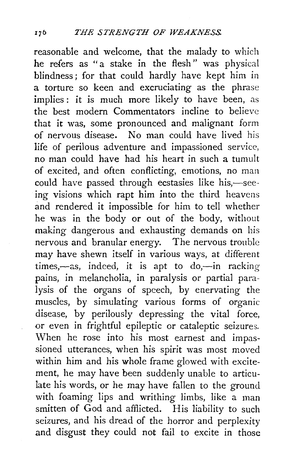reasonable and welcome, that the malady to which he refers as "a stake in the flesh" was physical blindness; for that could hardly have kept him in a torture so keen and excruciating as the phrase implies: it is much more likely to have been, as the best modern Commentators incline to believe that it was, some pronounced and malignant form of nervous disease. No man could have lived his life of perilous adventure and impassioned service, no man could have had his heart in such a tumult of excited, and often conflicting, emotions, no man could have passed through ecstasies like his,-seeing visions which rapt him into the third heavens and rendered it impossible for him to tell whether he was in the body or out of the body, without making dangerous and exhausting demands on his nervous and branular energy. The nervous trouble may have shewn itself in various ways, at different times,-as, indeed, it is apt to do,-in racking pains, in melancholia, in paralysis or partial paralysis of the organs of speech, by enervating the muscles, by simulating various forms of organic disease, by perilously depressing the vital force, or even in frightful epileptic or cataleptic seizures. When he rose into his most earnest and impassioned utterances, when his spirit was most moved within him and his whole frame glowed with excitement, he may have been suddenly unable to articulate his words, or he may have fallen to the ground with foaming lips and writhing limbs, like a man smitten of God and afflicted. His liability to such seizures, and his dread of the horror and perplexity and disgust they could not fail to excite in those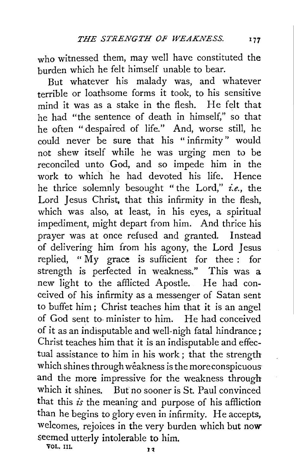who witnessed them, may well have constituted the burden which he felt himself unable to bear.

But whatever his malady was, and whatever terrible or loathsome forms it took, to his sensitive mind it was as a stake in the flesh. He felt that he had "the sentence of death in himself," so that he often "despaired of life." And, worse still, he could never be sure that his " infirmity " would not shew itself while he was urging men to be reconciled unto God, and so impede him in the work to which he had devoted his life. Hence he thrice solemnly besought " the Lord," *i.e.,* the Lord Jesus Christ, that this infirmity in the flesh, which was also, at least, in his eyes, a spiritual impediment, might depart from him. And thrice his prayer was at once refused and granted. Instead of delivering him from his agony, the Lord Jesus replied, " My grace is sufficient for thee : for strength is perfected in weakness." This was a new light to the afflicted Apostle. He had conceived of his infirmity as a messenger of Satan sent to buffet him ; Christ teaches him that it is an angel of God sent to· minister to him. He had conceived of it as an indisputable and well-nigh fatal hindrance; Christ teaches him that it is an indisputable and effectual assistance to him in his work ; that the strength which shines through weakness is the more conspicuous and the more impressive for the weakness through which it shines. But no sooner is St. Paul convinced that this *is* the meaning and purpose of his affliction than he begins to glory even in infirmity. He accepts, welcomes, rejoices in the very burden which but now seemed utterly intolerable to him.

VOL. Ill,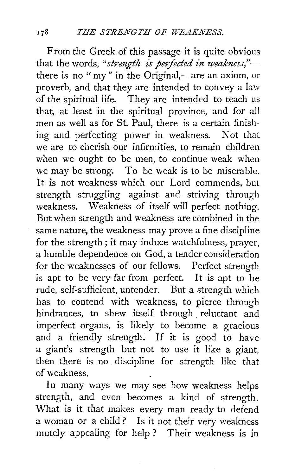From the Greek of this passage it is quite obvious that the words, "strength is perfected in weakness,"there is no "my" in the Original,—are an axiom, or proverb, and that they are intended to convey a law of the spiritual life. They are intended to teach us that, at least in the spiritual province, and for all men as well as for St. Paul, there is a certain finishing and perfecting power in weakness. Not that we are to cherish our infirmities, to remain children when we ought to be men, to continue weak when we may be strong. To be weak is to be miserable. It is not weakness which our Lord commends, but strength struggling against and striving through weakness. Weakness of itself will perfect nothing. But when strength and weakness are combined in the same nature, the weakness may prove a fine discipline for the strength ; it may induce watchfulness, prayer, a humble dependence on God, a tender consideration for the weaknesses of our fellows. Perfect strength is apt to be very far from perfect. It is apt to be rude, self-sufficient, untender. But a strength which has to contend with weakness, to pierce through hindrances, to shew itself through reluctant and imperfect organs, is likely to become a gracious and a friendly strength. If it is good to have a giant's strength but not to use it like a giant, then there is no discipline for strength like that of weakness.

In many ways we may see how weakness helps strength, and even becomes a kind of strength. What is it that makes every man ready to defend a woman or a child ? Is it not their very weakness mutely appealing for help ? Their weakness is in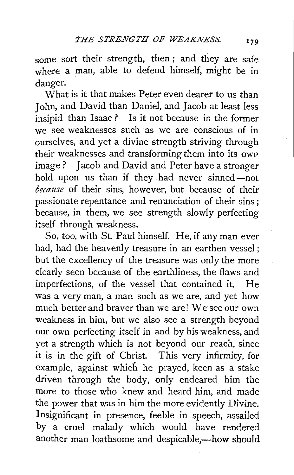some sort their strength, then; and they are safe where a man, able to defend himself, might be in danger.

What is it that makes Peter even dearer to us than Iohn, and David than Daniel, and Jacob at least less insipid than Isaac ? Is it not because in the former we see weaknesses such as we are conscious of in ourselves, and yet a divine strength striving through their weaknesses and transforming them into its owp image? Jacob and David and Peter have a stronger hold upon us than if they had never sinned-not *because* of their sins, however, but because of their passionate repentance and renunciation of their sins ; because, in them, we see strength slowly perfecting itself through weakness.

So, too, with St. Paul himself. He, if any man ever had, had the heavenly treasure in an earthen vessel; but the excellency of the treasure was only the more clearly seen because of the earthliness, the flaws and imperfections, of the vessel that contained it. He was a very man, a man such as we are, and yet how much betterand braver than we are! Weseeour own weakness in him, but we also see a strength beyond our own perfecting itself in and by his weakness, and yet a strength which is not beyond our reach, since it is in the gift of Christ. This very infirmity, for example, against which he prayed, keen as a stake driven through the body, only endeared him the more to those who knew and heard him, and made the power that was in him the more evidently Divine. Insignificant in presence, feeble in speech, assailed by a cruel malady which would have rendered another man loathsome and despicable,-how should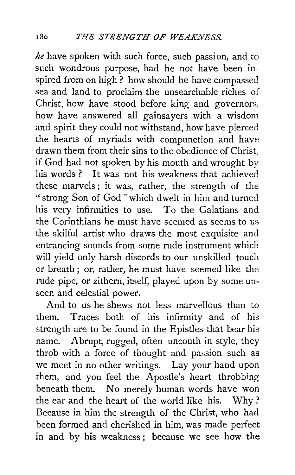*he* have spoken with such force, such passion, and to such wondrous purpose, had he not have been inspired from on high? how should he have compassed sea and land to proclaim the unsearchable riches of Christ, how have stood before king and governors, how have answered all gainsayers with a wisdom and spirit they could not withstand, how have pierced the hearts of myriads with compunction and have drawn them from their sins to the obedience of Christ, if God had not spoken by his mouth and wrought by his words ? It was not his weakness that achieved these marvels ; it was, rather, the strength of the "strong Son of God" which dwelt in him and turned his very infirmities to use. To the Galatians and the Corinthians he must have seemed as seems to us the skilful artist who draws the most exquisite and entrancing sounds from some rude instrument which will yield only harsh discords to our unskilled touch or breath; or, rather, he must have seemed like the rude pipe, or zithern, itself, played upon by some unseen and celestial power.

And to us he shews not less marvellous than to them. Traces both of his infirmity and of his strength are to be found in the Epistles that bear his name. Abrupt, rugged, often uncouth in style, they throb with a force of thought and passion such as we meet in no other writings. Lay your hand upon them, and you feel the Apostle's heart throbbing beneath them. No merely human words have won the ear and the heart of the world like his. Why ? Because in him the strength of the Christ, who had been formed and cherished in him, was made perfect in and by his weakness *;* because we see how the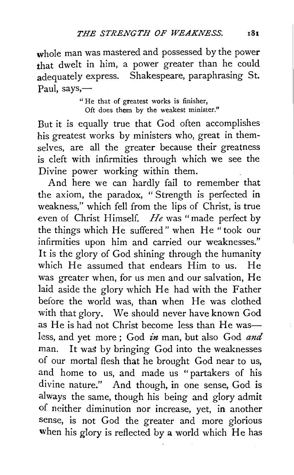whole man was mastered and possessed by the power that dwelt in him, a power greater than he could adequately express. Shakespeare, paraphrasing St. Paul, says, $-$ 

> " He that of greatest works is finisher, Oft does them by the weakest minister."

But it is equally true that God often accomplishes his greatest works by ministers who, great in themselves, are all the greater because their greatness is cleft with infirmities through which we see the Divine power working within them.

And here we can hardly fail to remember that the axiom, the paradox, " Strength is perfected in weakness," which fell from the lips of Christ, is true even of Christ Himself. *He* was "made perfect by the things which He suffered" when He "took our infirmities upon him and carried our weaknesses." It is the glory of God shining through the humanity which He assumed that endears Him to us. He was greater when, for us men and our salvation, He laid aside the glory which He had with the Father before the world was, than when He was clothed with that glory. We should never have known God as He is had not Christ become less than He wasless, and yet more ; God *in* man, but also God *and*  man. It was by bringing God into the weaknesses of our mortal flesh that he brought God near to us, and home to us, and made us "partakers of his divine nature." And though, in one sense, God is always the same, though his being and glory admit of neither diminution nor increase, yet, in another sense, is not God the greater and more glorious when his glory is reflected by a world which He has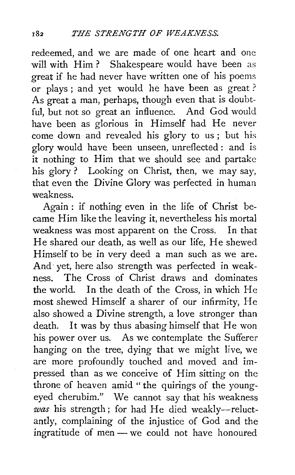redeemed, and we are made of one heart and one will with Him? Shakespeare would have been as great if he had never have written one of his poems or plays ; and yet would he have been as great ? As great a man, perhaps, though even that is doubtful, but not so great an influence. And God would have been as glorious in Himself had He never come down and revealed his glory to us ; but his glory would have been unseen, unreflected: and is it nothing to Him that we should see and partake his glory? Looking on Christ, then, we may say, that even the Divine Glory was perfected in human weakness.

Again : if nothing even in the life of Christ became Him like the leaving it, nevertheless his mortal weakness was most apparent on the Cross. In that He shared our death, as well as our life, He shewed Himself to be in very deed a man such as we are. And yet, here also strength was perfected in weakness. The Cross of Christ draws and dominates the world. In the death of the Cross, in which He most shewed Himself a sharer of our infirmity, He also showed a Divine strength, a love stronger than death. It was by thus abasing himself that He won his power over us. As we contemplate the Sufferer hanging on the tree, dying that we might live, we are more profoundly touched and moved and impressed than as we conceive of Him sitting on the throne of heaven amid "the quirings of the youngeyed cherubim." We cannot say that his weakness *was* his strength; for had He died weakly-reluctantly, complaining of the injustice of God and the ingratitude of men - we could not have honoured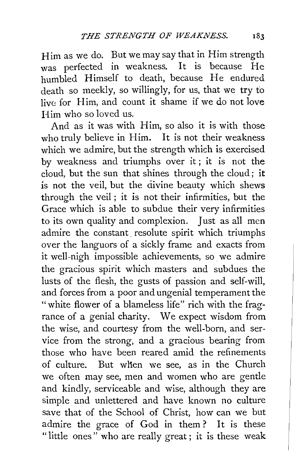Him as we do. But we may say that in Him strength was perfected in weakness. It is because He humbled Himself to death, because He endured death so meekly, so willingly, for us, that we try to live: for Him, and count it shame if we do not love Him who so loved us.

And as it was with Him, so also it is with those who truly believe in Him. It is not their weakness which we admire, but the strength which is exercised by weakness and triumphs over it ; it is not the cloud, but the sun that shines through the cloud; it is not the veil, but the divine beauty which shews through the veil; it is not their infirmities, but the Grace which is able to subdue their very infirmities to its own quality and complexion. Just as all men admire the constant, resolute spirit which triumphs over the languors of a sickly frame and exacts from it well-nigh impossible achievements, so we admire the gracious spirit which masters and subdues the lusts of the flesh, the gusts of passion and self-will, and forces from a poor and ungenial temperament the "white flower of a blameless life" rich with the fragrance of a genial charity. We expect wisdom from the wise, and courtesy from the well-born, and service from the strong, and a gracious bearing from those who have been reared amid the refinements of culture. But wlien we see, as in the Church we often may see, men and women who are gentle and kindly, serviceable and wise, although they are simple and unlettered and have known no culture save that of the School of Christ, how can we but admire the grace of God in them ? It is these "little ones" who are really great; it is these weak